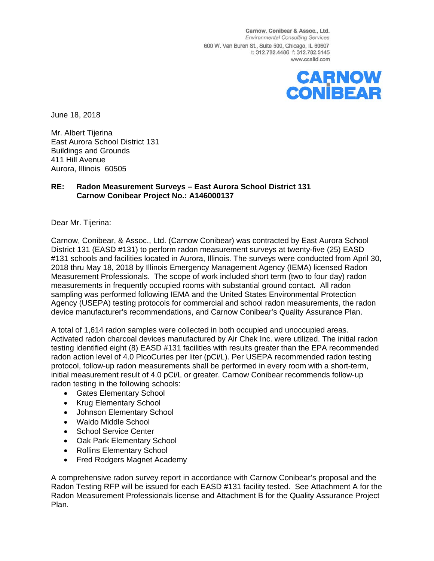Carnow, Conibear & Assoc., Ltd. **Environmental Consulting Services** 600 W. Van Buren St., Suite 500, Chicago, IL 60607 t: 312.782.4486 f: 312.782.5145 www.ccaltd.com



June 18, 2018

Mr. Albert Tijerina East Aurora School District 131 Buildings and Grounds 411 Hill Avenue Aurora, Illinois 60505

#### **RE: Radon Measurement Surveys – East Aurora School District 131 Carnow Conibear Project No.: A146000137**

Dear Mr. Tijerina:

Carnow, Conibear, & Assoc., Ltd. (Carnow Conibear) was contracted by East Aurora School District 131 (EASD #131) to perform radon measurement surveys at twenty-five (25) EASD #131 schools and facilities located in Aurora, Illinois. The surveys were conducted from April 30, 2018 thru May 18, 2018 by Illinois Emergency Management Agency (IEMA) licensed Radon Measurement Professionals. The scope of work included short term (two to four day) radon measurements in frequently occupied rooms with substantial ground contact. All radon sampling was performed following IEMA and the United States Environmental Protection Agency (USEPA) testing protocols for commercial and school radon measurements, the radon device manufacturer's recommendations, and Carnow Conibear's Quality Assurance Plan.

A total of 1,614 radon samples were collected in both occupied and unoccupied areas. Activated radon charcoal devices manufactured by Air Chek Inc. were utilized. The initial radon testing identified eight (8) EASD #131 facilities with results greater than the EPA recommended radon action level of 4.0 PicoCuries per liter (pCi/L). Per USEPA recommended radon testing protocol, follow-up radon measurements shall be performed in every room with a short-term, initial measurement result of 4.0 pCi/L or greater. Carnow Conibear recommends follow-up radon testing in the following schools:

- Gates Elementary School
- Krug Elementary School
- Johnson Elementary School
- Waldo Middle School
- School Service Center
- Oak Park Elementary School
- Rollins Elementary School
- Fred Rodgers Magnet Academy

A comprehensive radon survey report in accordance with Carnow Conibear's proposal and the Radon Testing RFP will be issued for each EASD #131 facility tested. See Attachment A for the Radon Measurement Professionals license and Attachment B for the Quality Assurance Project Plan.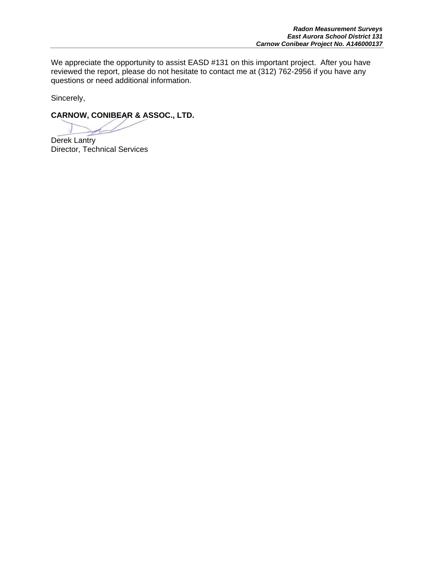We appreciate the opportunity to assist EASD #131 on this important project. After you have reviewed the report, please do not hesitate to contact me at (312) 762-2956 if you have any questions or need additional information.

Sincerely,

**CARNOW, CONIBEAR & ASSOC., LTD.**

Derek Lantry Director, Technical Services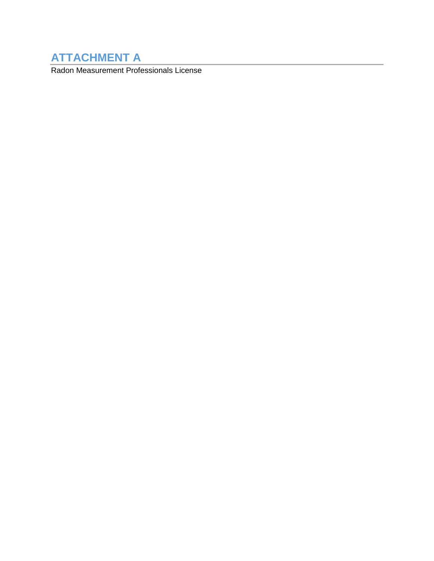# **ATTACHMENT A**

Radon Measurement Professionals License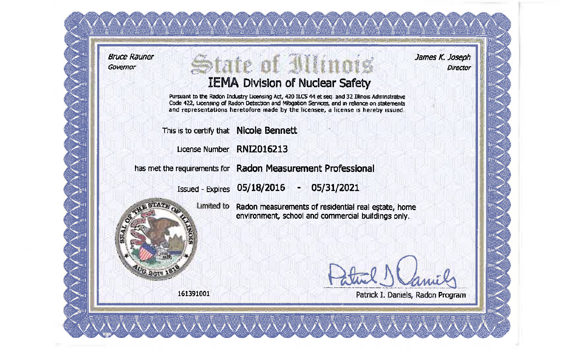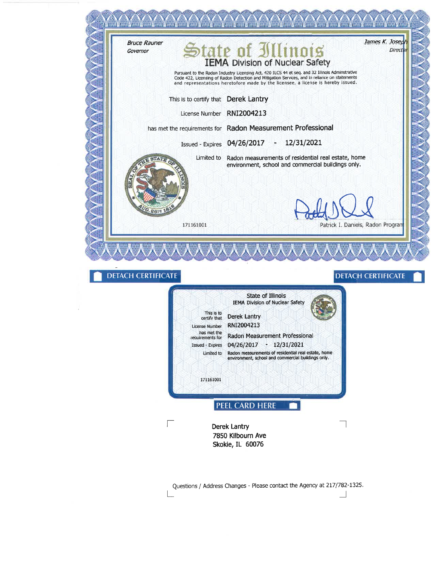

Questions / Address Changes - Please contact the Agency at 217/782-1325.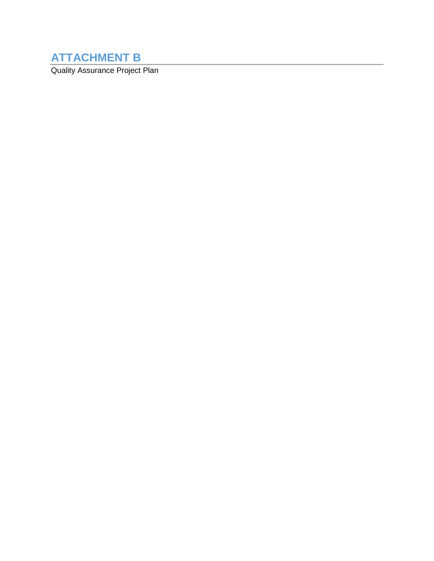# **ATTACHMENT B**

Quality Assurance Project Plan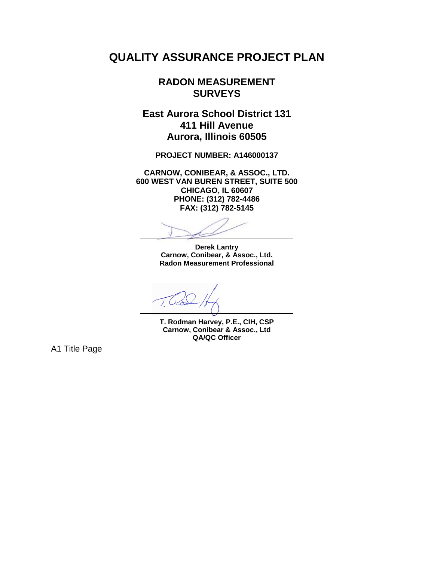# **QUALITY ASSURANCE PROJECT PLAN**

# **RADON MEASUREMENT SURVEYS**

**East Aurora School District 131 411 Hill Avenue Aurora, Illinois 60505**

**PROJECT NUMBER: A146000137**

**CARNOW, CONIBEAR, & ASSOC., LTD. 600 WEST VAN BUREN STREET, SUITE 500 CHICAGO, IL 60607 PHONE: (312) 782-4486 FAX: (312) 782-5145**

**Derek Lantry Carnow, Conibear, & Assoc., Ltd. Radon Measurement Professional**

**T. Rodman Harvey, P.E., CIH, CSP Carnow, Conibear & Assoc., Ltd QA/QC Officer**

A1 Title Page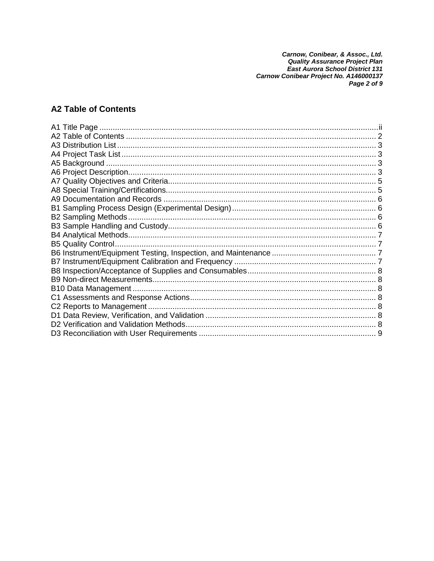Carnow, Conibear, & Assoc., Ltd.<br>Quality Assurance Project Plan<br>East Aurora School District 131<br>Carnow Conibear Project No. A146000137<br>Page 2 of 9

# **A2 Table of Contents**

| B10 Data Management.                   |  |
|----------------------------------------|--|
|                                        |  |
|                                        |  |
|                                        |  |
| D2 Verification and Validation Methods |  |
|                                        |  |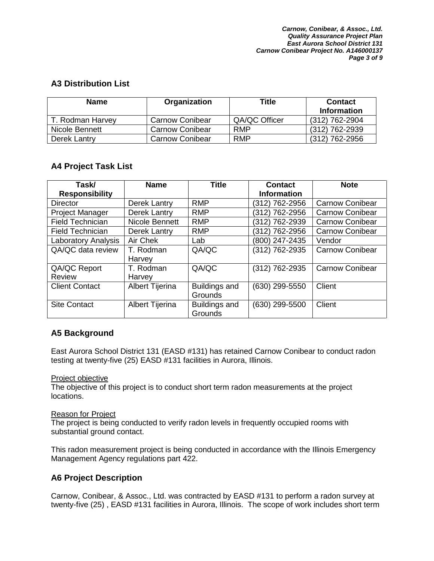# **A3 Distribution List**

| <b>Name</b>      | Organization           | Title         | <b>Contact</b><br>Information |
|------------------|------------------------|---------------|-------------------------------|
| T. Rodman Harvey | Carnow Conibear        | QA/QC Officer | (312) 762-2904                |
| Nicole Bennett   | <b>Carnow Conibear</b> | <b>RMP</b>    | (312) 762-2939                |
| Derek Lantry     | <b>Carnow Conibear</b> | <b>RMP</b>    | $(312)$ 762-2956              |

# **A4 Project Task List**

| Task/                      | <b>Name</b>            | <b>Title</b>         | <b>Contact</b>     | <b>Note</b>            |
|----------------------------|------------------------|----------------------|--------------------|------------------------|
| <b>Responsibility</b>      |                        |                      | <b>Information</b> |                        |
| Director                   | Derek Lantry           | <b>RMP</b>           | (312) 762-2956     | <b>Carnow Conibear</b> |
| <b>Project Manager</b>     | Derek Lantry           | <b>RMP</b>           | (312) 762-2956     | <b>Carnow Conibear</b> |
| <b>Field Technician</b>    | Nicole Bennett         | <b>RMP</b>           | (312) 762-2939     | <b>Carnow Conibear</b> |
| <b>Field Technician</b>    | <b>Derek Lantry</b>    | <b>RMP</b>           | (312) 762-2956     | <b>Carnow Conibear</b> |
| <b>Laboratory Analysis</b> | Air Chek               | Lab                  | (800) 247-2435     | Vendor                 |
| QA/QC data review          | T. Rodman              | QA/QC                | (312) 762-2935     | <b>Carnow Conibear</b> |
|                            | Harvey                 |                      |                    |                        |
| QA/QC Report               | T. Rodman              | QA/QC                | (312) 762-2935     | <b>Carnow Conibear</b> |
| Review                     | Harvey                 |                      |                    |                        |
| <b>Client Contact</b>      | <b>Albert Tijerina</b> | <b>Buildings and</b> | (630) 299-5550     | Client                 |
|                            |                        | <b>Grounds</b>       |                    |                        |
| <b>Site Contact</b>        | Albert Tijerina        | Buildings and        | (630) 299-5500     | Client                 |
|                            |                        | <b>Grounds</b>       |                    |                        |

# **A5 Background**

East Aurora School District 131 (EASD #131) has retained Carnow Conibear to conduct radon testing at twenty-five (25) EASD #131 facilities in Aurora, Illinois.

#### Project objective

The objective of this project is to conduct short term radon measurements at the project locations.

#### Reason for Project

The project is being conducted to verify radon levels in frequently occupied rooms with substantial ground contact.

This radon measurement project is being conducted in accordance with the Illinois Emergency Management Agency regulations part 422.

# **A6 Project Description**

Carnow, Conibear, & Assoc., Ltd. was contracted by EASD #131 to perform a radon survey at twenty-five (25) , EASD #131 facilities in Aurora, Illinois. The scope of work includes short term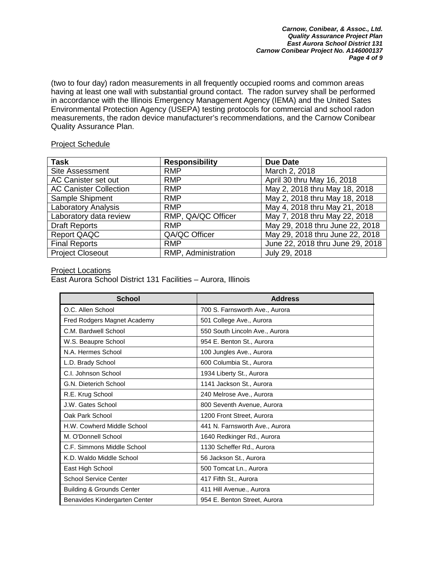(two to four day) radon measurements in all frequently occupied rooms and common areas having at least one wall with substantial ground contact. The radon survey shall be performed in accordance with the Illinois Emergency Management Agency (IEMA) and the United Sates Environmental Protection Agency (USEPA) testing protocols for commercial and school radon measurements, the radon device manufacturer's recommendations, and the Carnow Conibear Quality Assurance Plan.

#### Project Schedule

| <b>Task</b>                   | <b>Responsibility</b> | <b>Due Date</b>                  |
|-------------------------------|-----------------------|----------------------------------|
| <b>Site Assessment</b>        | <b>RMP</b>            | March 2, 2018                    |
| AC Canister set out           | <b>RMP</b>            | April 30 thru May 16, 2018       |
| <b>AC Canister Collection</b> | <b>RMP</b>            | May 2, 2018 thru May 18, 2018    |
| Sample Shipment               | <b>RMP</b>            | May 2, 2018 thru May 18, 2018    |
| <b>Laboratory Analysis</b>    | <b>RMP</b>            | May 4, 2018 thru May 21, 2018    |
| Laboratory data review        | RMP, QA/QC Officer    | May 7, 2018 thru May 22, 2018    |
| <b>Draft Reports</b>          | <b>RMP</b>            | May 29, 2018 thru June 22, 2018  |
| <b>Report QAQC</b>            | QA/QC Officer         | May 29, 2018 thru June 22, 2018  |
| <b>Final Reports</b>          | <b>RMP</b>            | June 22, 2018 thru June 29, 2018 |
| <b>Project Closeout</b>       | RMP, Administration   | July 29, 2018                    |

#### Project Locations

East Aurora School District 131 Facilities – Aurora, Illinois

| <b>School</b>                        | <b>Address</b>                 |
|--------------------------------------|--------------------------------|
| O.C. Allen School                    | 700 S. Farnsworth Ave., Aurora |
| Fred Rodgers Magnet Academy          | 501 College Ave., Aurora       |
| C.M. Bardwell School                 | 550 South Lincoln Ave., Aurora |
| W.S. Beaupre School                  | 954 E. Benton St., Aurora      |
| N.A. Hermes School                   | 100 Jungles Ave., Aurora       |
| L.D. Brady School                    | 600 Columbia St., Aurora       |
| C.I. Johnson School                  | 1934 Liberty St., Aurora       |
| G.N. Dieterich School                | 1141 Jackson St., Aurora       |
| R.E. Krug School                     | 240 Melrose Ave., Aurora       |
| J.W. Gates School                    | 800 Seventh Avenue, Aurora     |
| Oak Park School                      | 1200 Front Street, Aurora      |
| H.W. Cowherd Middle School           | 441 N. Farnsworth Ave., Aurora |
| M. O'Donnell School                  | 1640 Redkinger Rd., Aurora     |
| C.F. Simmons Middle School           | 1130 Scheffer Rd., Aurora      |
| K.D. Waldo Middle School             | 56 Jackson St., Aurora         |
| East High School                     | 500 Tomcat Ln., Aurora         |
| <b>School Service Center</b>         | 417 Fifth St., Aurora          |
| <b>Building &amp; Grounds Center</b> | 411 Hill Avenue., Aurora       |
| Benavides Kindergarten Center        | 954 E. Benton Street, Aurora   |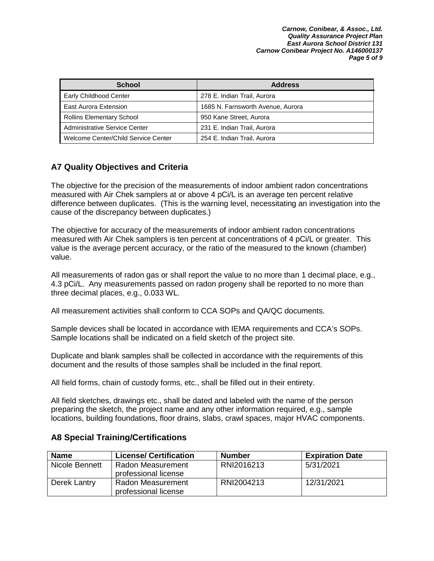| <b>School</b>                       | <b>Address</b>                    |
|-------------------------------------|-----------------------------------|
| <b>Early Childhood Center</b>       | 278 E. Indian Trail, Aurora       |
| <b>East Aurora Extension</b>        | 1685 N. Farnsworth Avenue, Aurora |
| <b>Rollins Elementary School</b>    | 950 Kane Street, Aurora           |
| Administrative Service Center       | 231 E. Indian Trail, Aurora       |
| Welcome Center/Child Service Center | 254 E. Indian Trail, Aurora       |

# **A7 Quality Objectives and Criteria**

The objective for the precision of the measurements of indoor ambient radon concentrations measured with Air Chek samplers at or above 4 pCi/L is an average ten percent relative difference between duplicates. (This is the warning level, necessitating an investigation into the cause of the discrepancy between duplicates.)

The objective for accuracy of the measurements of indoor ambient radon concentrations measured with Air Chek samplers is ten percent at concentrations of 4 pCi/L or greater. This value is the average percent accuracy, or the ratio of the measured to the known (chamber) value.

All measurements of radon gas or shall report the value to no more than 1 decimal place, e.g., 4.3 pCi/L. Any measurements passed on radon progeny shall be reported to no more than three decimal places, e.g., 0.033 WL.

All measurement activities shall conform to CCA SOPs and QA/QC documents.

Sample devices shall be located in accordance with IEMA requirements and CCA's SOPs. Sample locations shall be indicated on a field sketch of the project site.

Duplicate and blank samples shall be collected in accordance with the requirements of this document and the results of those samples shall be included in the final report.

All field forms, chain of custody forms, etc., shall be filled out in their entirety.

All field sketches, drawings etc., shall be dated and labeled with the name of the person preparing the sketch, the project name and any other information required, e.g., sample locations, building foundations, floor drains, slabs, crawl spaces, major HVAC components.

| <b>Name</b>    | <b>License/ Certification</b>             | <b>Number</b> | <b>Expiration Date</b> |
|----------------|-------------------------------------------|---------------|------------------------|
| Nicole Bennett | Radon Measurement<br>professional license | RNI2016213    | 5/31/2021              |
| Derek Lantry   | Radon Measurement<br>professional license | RNI2004213    | 12/31/2021             |

### **A8 Special Training/Certifications**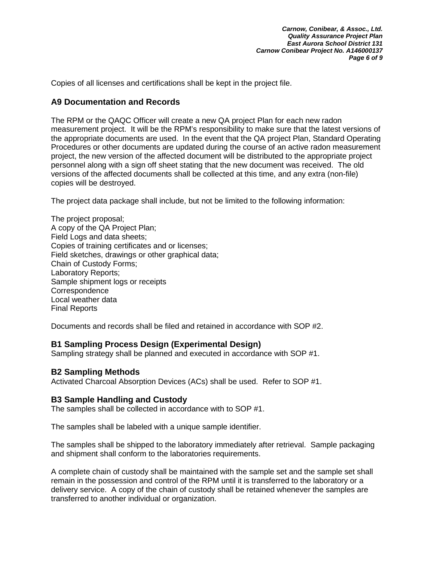Copies of all licenses and certifications shall be kept in the project file.

#### **A9 Documentation and Records**

The RPM or the QAQC Officer will create a new QA project Plan for each new radon measurement project. It will be the RPM's responsibility to make sure that the latest versions of the appropriate documents are used. In the event that the QA project Plan, Standard Operating Procedures or other documents are updated during the course of an active radon measurement project, the new version of the affected document will be distributed to the appropriate project personnel along with a sign off sheet stating that the new document was received. The old versions of the affected documents shall be collected at this time, and any extra (non-file) copies will be destroyed.

The project data package shall include, but not be limited to the following information:

The project proposal; A copy of the QA Project Plan; Field Logs and data sheets; Copies of training certificates and or licenses; Field sketches, drawings or other graphical data; Chain of Custody Forms; Laboratory Reports; Sample shipment logs or receipts **Correspondence** Local weather data Final Reports

Documents and records shall be filed and retained in accordance with SOP #2.

### **B1 Sampling Process Design (Experimental Design)**

Sampling strategy shall be planned and executed in accordance with SOP #1.

#### **B2 Sampling Methods**

Activated Charcoal Absorption Devices (ACs) shall be used. Refer to SOP #1.

#### **B3 Sample Handling and Custody**

The samples shall be collected in accordance with to SOP #1.

The samples shall be labeled with a unique sample identifier.

The samples shall be shipped to the laboratory immediately after retrieval. Sample packaging and shipment shall conform to the laboratories requirements.

A complete chain of custody shall be maintained with the sample set and the sample set shall remain in the possession and control of the RPM until it is transferred to the laboratory or a delivery service. A copy of the chain of custody shall be retained whenever the samples are transferred to another individual or organization.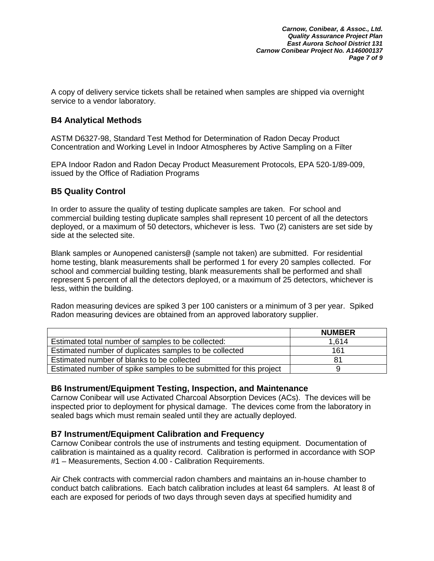A copy of delivery service tickets shall be retained when samples are shipped via overnight service to a vendor laboratory.

## **B4 Analytical Methods**

ASTM D6327-98, Standard Test Method for Determination of Radon Decay Product Concentration and Working Level in Indoor Atmospheres by Active Sampling on a Filter

EPA Indoor Radon and Radon Decay Product Measurement Protocols, EPA 520-1/89-009, issued by the Office of Radiation Programs

### **B5 Quality Control**

In order to assure the quality of testing duplicate samples are taken. For school and commercial building testing duplicate samples shall represent 10 percent of all the detectors deployed, or a maximum of 50 detectors, whichever is less. Two (2) canisters are set side by side at the selected site.

Blank samples or Aunopened canisters@ (sample not taken) are submitted. For residential home testing, blank measurements shall be performed 1 for every 20 samples collected. For school and commercial building testing, blank measurements shall be performed and shall represent 5 percent of all the detectors deployed, or a maximum of 25 detectors, whichever is less, within the building.

Radon measuring devices are spiked 3 per 100 canisters or a minimum of 3 per year. Spiked Radon measuring devices are obtained from an approved laboratory supplier.

|                                                                    | <b>NUMBER</b> |
|--------------------------------------------------------------------|---------------|
| Estimated total number of samples to be collected:                 | 1,614         |
| Estimated number of duplicates samples to be collected             | 161           |
| Estimated number of blanks to be collected                         | 81            |
| Estimated number of spike samples to be submitted for this project | 9             |

### **B6 Instrument/Equipment Testing, Inspection, and Maintenance**

Carnow Conibear will use Activated Charcoal Absorption Devices (ACs). The devices will be inspected prior to deployment for physical damage. The devices come from the laboratory in sealed bags which must remain sealed until they are actually deployed.

### **B7 Instrument/Equipment Calibration and Frequency**

Carnow Conibear controls the use of instruments and testing equipment. Documentation of calibration is maintained as a quality record. Calibration is performed in accordance with SOP #1 – Measurements, Section 4.00 - Calibration Requirements.

Air Chek contracts with commercial radon chambers and maintains an in-house chamber to conduct batch calibrations. Each batch calibration includes at least 64 samplers. At least 8 of each are exposed for periods of two days through seven days at specified humidity and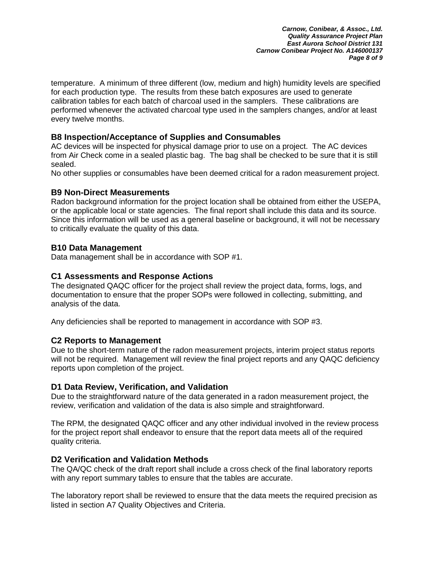temperature. A minimum of three different (low, medium and high) humidity levels are specified for each production type. The results from these batch exposures are used to generate calibration tables for each batch of charcoal used in the samplers. These calibrations are performed whenever the activated charcoal type used in the samplers changes, and/or at least every twelve months.

## **B8 Inspection/Acceptance of Supplies and Consumables**

AC devices will be inspected for physical damage prior to use on a project. The AC devices from Air Check come in a sealed plastic bag. The bag shall be checked to be sure that it is still sealed.

No other supplies or consumables have been deemed critical for a radon measurement project.

## **B9 Non-Direct Measurements**

Radon background information for the project location shall be obtained from either the USEPA, or the applicable local or state agencies. The final report shall include this data and its source. Since this information will be used as a general baseline or background, it will not be necessary to critically evaluate the quality of this data.

## **B10 Data Management**

Data management shall be in accordance with SOP #1.

## **C1 Assessments and Response Actions**

The designated QAQC officer for the project shall review the project data, forms, logs, and documentation to ensure that the proper SOPs were followed in collecting, submitting, and analysis of the data.

Any deficiencies shall be reported to management in accordance with SOP #3.

# **C2 Reports to Management**

Due to the short-term nature of the radon measurement projects, interim project status reports will not be required. Management will review the final project reports and any QAQC deficiency reports upon completion of the project.

### **D1 Data Review, Verification, and Validation**

Due to the straightforward nature of the data generated in a radon measurement project, the review, verification and validation of the data is also simple and straightforward.

The RPM, the designated QAQC officer and any other individual involved in the review process for the project report shall endeavor to ensure that the report data meets all of the required quality criteria.

### **D2 Verification and Validation Methods**

The QA/QC check of the draft report shall include a cross check of the final laboratory reports with any report summary tables to ensure that the tables are accurate.

The laboratory report shall be reviewed to ensure that the data meets the required precision as listed in section A7 Quality Objectives and Criteria.